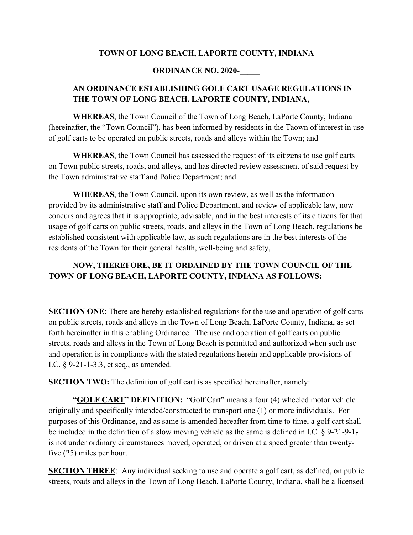#### **TOWN OF LONG BEACH, LAPORTE COUNTY, INDIANA**

#### **ORDINANCE NO. 2020-**

#### **AN ORDINANCE ESTABLISHING GOLF CART USAGE REGULATIONS IN THE TOWN OF LONG BEACH. LAPORTE COUNTY, INDIANA,**

**WHEREAS**, the Town Council of the Town of Long Beach, LaPorte County, Indiana (hereinafter, the "Town Council"), has been informed by residents in the Taown of interest in use of golf carts to be operated on public streets, roads and alleys within the Town; and

**WHEREAS**, the Town Council has assessed the request of its citizens to use golf carts on Town public streets, roads, and alleys, and has directed review assessment of said request by the Town administrative staff and Police Department; and

**WHEREAS**, the Town Council, upon its own review, as well as the information provided by its administrative staff and Police Department, and review of applicable law, now concurs and agrees that it is appropriate, advisable, and in the best interests of its citizens for that usage of golf carts on public streets, roads, and alleys in the Town of Long Beach, regulations be established consistent with applicable law, as such regulations are in the best interests of the residents of the Town for their general health, well-being and safety,

## **NOW, THEREFORE, BE IT ORDAINED BY THE TOWN COUNCIL OF THE TOWN OF LONG BEACH, LAPORTE COUNTY, INDIANA AS FOLLOWS:**

**SECTION ONE**: There are hereby established regulations for the use and operation of golf carts on public streets, roads and alleys in the Town of Long Beach, LaPorte County, Indiana, as set forth hereinafter in this enabling Ordinance. The use and operation of golf carts on public streets, roads and alleys in the Town of Long Beach is permitted and authorized when such use and operation is in compliance with the stated regulations herein and applicable provisions of I.C. § 9-21-1-3.3, et seq., as amended.

**SECTION TWO:** The definition of golf cart is as specified hereinafter, namely:

**"GOLF CART" DEFINITION:** "Golf Cart" means a four (4) wheeled motor vehicle originally and specifically intended/constructed to transport one (1) or more individuals. For purposes of this Ordinance, and as same is amended hereafter from time to time, a golf cart shall be included in the definition of a slow moving vehicle as the same is defined in I.C. § 9-21-9-1, is not under ordinary circumstances moved, operated, or driven at a speed greater than twentyfive (25) miles per hour.

**SECTION THREE:** Any individual seeking to use and operate a golf cart, as defined, on public streets, roads and alleys in the Town of Long Beach, LaPorte County, Indiana, shall be a licensed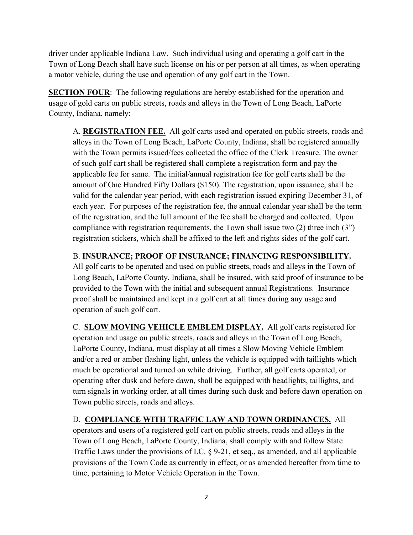driver under applicable Indiana Law. Such individual using and operating a golf cart in the Town of Long Beach shall have such license on his or per person at all times, as when operating a motor vehicle, during the use and operation of any golf cart in the Town.

**SECTION FOUR:** The following regulations are hereby established for the operation and usage of gold carts on public streets, roads and alleys in the Town of Long Beach, LaPorte County, Indiana, namely:

A. **REGISTRATION FEE.** All golf carts used and operated on public streets, roads and alleys in the Town of Long Beach, LaPorte County, Indiana, shall be registered annually with the Town permits issued/fees collected the office of the Clerk Treasure. The owner of such golf cart shall be registered shall complete a registration form and pay the applicable fee for same. The initial/annual registration fee for golf carts shall be the amount of One Hundred Fifty Dollars (\$150). The registration, upon issuance, shall be valid for the calendar year period, with each registration issued expiring December 31, of each year. For purposes of the registration fee, the annual calendar year shall be the term of the registration, and the full amount of the fee shall be charged and collected. Upon compliance with registration requirements, the Town shall issue two (2) three inch (3") registration stickers, which shall be affixed to the left and rights sides of the golf cart.

## B. **INSURANCE; PROOF OF INSURANCE; FINANCING RESPONSIBILITY.**

All golf carts to be operated and used on public streets, roads and alleys in the Town of Long Beach, LaPorte County, Indiana, shall be insured, with said proof of insurance to be provided to the Town with the initial and subsequent annual Registrations. Insurance proof shall be maintained and kept in a golf cart at all times during any usage and operation of such golf cart.

C. **SLOW MOVING VEHICLE EMBLEM DISPLAY.** All golf carts registered for operation and usage on public streets, roads and alleys in the Town of Long Beach, LaPorte County, Indiana, must display at all times a Slow Moving Vehicle Emblem and/or a red or amber flashing light, unless the vehicle is equipped with taillights which much be operational and turned on while driving. Further, all golf carts operated, or operating after dusk and before dawn, shall be equipped with headlights, taillights, and turn signals in working order, at all times during such dusk and before dawn operation on Town public streets, roads and alleys.

D. **COMPLIANCE WITH TRAFFIC LAW AND TOWN ORDINANCES.** All operators and users of a registered golf cart on public streets, roads and alleys in the Town of Long Beach, LaPorte County, Indiana, shall comply with and follow State Traffic Laws under the provisions of I.C. § 9-21, et seq., as amended, and all applicable provisions of the Town Code as currently in effect, or as amended hereafter from time to time, pertaining to Motor Vehicle Operation in the Town.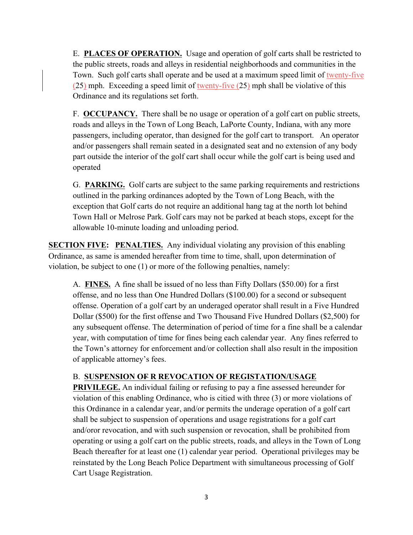E. **PLACES OF OPERATION.** Usage and operation of golf carts shall be restricted to the public streets, roads and alleys in residential neighborhoods and communities in the Town. Such golf carts shall operate and be used at a maximum speed limit of twenty-five (25) mph. Exceeding a speed limit of twenty-five (25) mph shall be violative of this Ordinance and its regulations set forth.

F. **OCCUPANCY.** There shall be no usage or operation of a golf cart on public streets, roads and alleys in the Town of Long Beach, LaPorte County, Indiana, with any more passengers, including operator, than designed for the golf cart to transport. An operator and/or passengers shall remain seated in a designated seat and no extension of any body part outside the interior of the golf cart shall occur while the golf cart is being used and operated

G. **PARKING.** Golf carts are subject to the same parking requirements and restrictions outlined in the parking ordinances adopted by the Town of Long Beach, with the exception that Golf carts do not require an additional hang tag at the north lot behind Town Hall or Melrose Park. Golf cars may not be parked at beach stops, except for the allowable 10-minute loading and unloading period.

**SECTION FIVE: PENALTIES.** Any individual violating any provision of this enabling Ordinance, as same is amended hereafter from time to time, shall, upon determination of violation, be subject to one (1) or more of the following penalties, namely:

A. **FINES.** A fine shall be issued of no less than Fifty Dollars (\$50.00) for a first offense, and no less than One Hundred Dollars (\$100.00) for a second or subsequent offense. Operation of a golf cart by an underaged operator shall result in a Five Hundred Dollar (\$500) for the first offense and Two Thousand Five Hundred Dollars (\$2,500) for any subsequent offense. The determination of period of time for a fine shall be a calendar year, with computation of time for fines being each calendar year. Any fines referred to the Town's attorney for enforcement and/or collection shall also result in the imposition of applicable attorney's fees.

## B. **SUSPENSION OF R REVOCATION OF REGISTATION/USAGE**

**PRIVILEGE.** An individual failing or refusing to pay a fine assessed hereunder for violation of this enabling Ordinance, who is citied with three (3) or more violations of this Ordinance in a calendar year, and/or permits the underage operation of a golf cart shall be subject to suspension of operations and usage registrations for a golf cart and/oror revocation, and with such suspension or revocation, shall be prohibited from operating or using a golf cart on the public streets, roads, and alleys in the Town of Long Beach thereafter for at least one (1) calendar year period. Operational privileges may be reinstated by the Long Beach Police Department with simultaneous processing of Golf Cart Usage Registration.